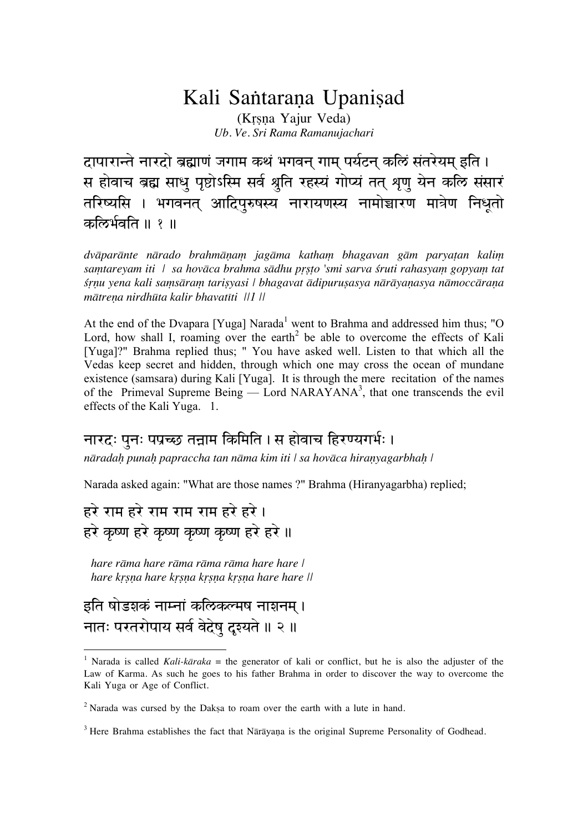## Kali Santarana Upanisad

(Krsna Yajur Veda) Ub. Ve. Sri Rama Ramanujachari

दापारान्ते नारदो ब्रह्माणं जगाम कथं भगवन् गाम् पर्यटन् कलिं संतरेयम् इति । स होवाच ब्रह्म साधु पृष्टोऽस्मि सर्व श्रुति रहस्यं गोप्यं तत् शृणु येन कलि संसारं तरिष्यसि । भगवनत् आदिपुरुषस्य नारायणस्य नामोच्चारण मात्रेण निधूतो कल्रिर्भवति ॥ १ ॥

dvāparānte nārado brahmāņam jagāma katham bhagavan gām paryatan kalim samtareyam iti | sa hovāca brahma sādhu prsto 'smi sarva śruti rahasyam gopyam tat srnu yena kali samsāram tarisyasi | bhagavat ādipurusasya nārāyanasya nāmoccārana mātrena nirdhūta kalir bhavatīti ||1 ||

At the end of the Dvapara [Yuga] Narada<sup>1</sup> went to Brahma and addressed him thus; "O Lord, how shall I, roaming over the earth<sup>2</sup> be able to overcome the effects of Kali [Yuga]?" Brahma replied thus; " You have asked well. Listen to that which all the Vedas keep secret and hidden, through which one may cross the ocean of mundane existence (samsara) during Kali [Yuga]. It is through the mere recitation of the names of the Primeval Supreme Being — Lord NARAYANA<sup>3</sup>, that one transcends the evil effects of the Kali Yuga. 1.

## नारदः पुनः पप्रच्छ तन्नाम किमिति । स होवाच हिरण्यगर्भः ।

nāradah punah papraccha tan nāma kim iti | sa hovāca hiranyagarbhah |

Narada asked again: "What are those names ?" Brahma (Hiranyagarbha) replied;

हरे राम हरे राम राम भा हरे हरे। हरे कृष्ण हरे कृष्ण कृष्ण करे हरे ॥

hare råma hare råma råma råma hare hare | hare krsna hare krsna krsna krsna hare hare ||

इति षोडशकं नाम्नां कल्ठिकल्मष नाशनम् । नातः परतरोपाय सर्व वेदेषु दृश्यते ॥ २ ॥

 $\overline{a}$ 

<sup>&</sup>lt;sup>1</sup> Narada is called *Kali-kāraka* = the generator of kali or conflict, but he is also the adjuster of the Law of Karma. As such he goes to his father Brahma in order to discover the way to overcome the Kali Yuga or Age of Conflict.

 $2$  Narada was cursed by the Daksa to roam over the earth with a lute in hand.

 $3$  Here Brahma establishes the fact that Nārāvana is the original Supreme Personality of Godhead.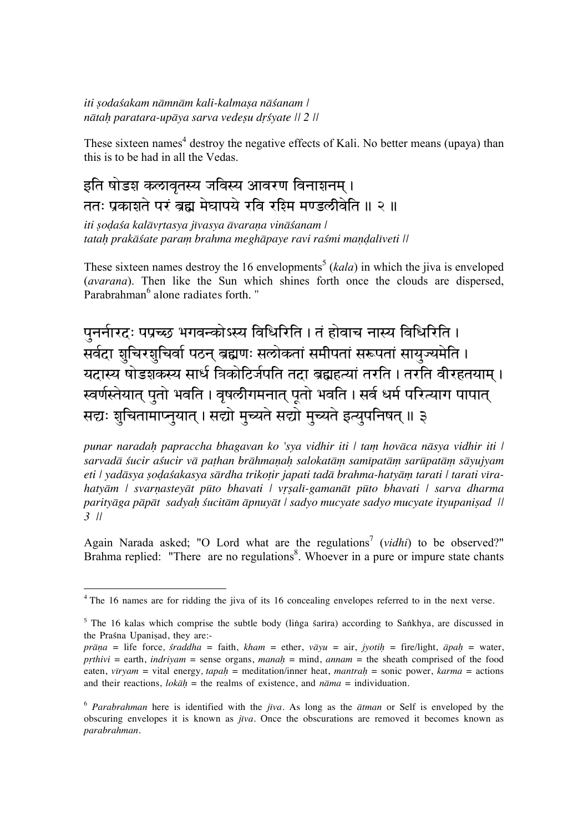iti sodaśakam nāmnām kali-kalmasa nāśanam | nātah paratara-upāya sarva vedesu dršyate || 2 ||

These sixteen names<sup>4</sup> destroy the negative effects of Kali. No better means (upaya) than this is to be had in all the Vedas.

## इति षोडश कलावृतस्य जविस्य आवरण विनाशनम् । ततः प्रकाशते परं ब्रह्म मेघापये रवि रश्मि मण्डलीवेति ॥ २ ॥

iti sodaśa kalāvrtasya jīvasya āvaraņa vināśanam | tatah prakāśate paraṃ brahma meghāpaye ravi raśmi mandalīveti ||

These sixteen names destroy the 16 envelopments<sup>5</sup> ( $kala$ ) in which the jiva is enveloped (*avarana*). Then like the Sun which shines forth once the clouds are dispersed, Parabrahman<sup>6</sup> alone radiates forth. "

पुनर्नारदः पप्रच्छ भगवन्कोऽस्य विधिरिति । तं होवाच नास्य विधिरिति । सर्वदा शुचिरशुचिर्वा पठन् ब्रह्मणः सलोकतां समीपतां सरूपतां सायुज्यमेति । <u>यदास्य षोडशकस्य सार्ध त्रिकोटिर्जपति तदा ब्रह्महत्यां तरति । तरति वीरहतयाम् ।</u> स्वर्णस्तेयात् पुतो भवति । वृषल्रीगमनात् पूतो भवति । सर्व धर्म परित्याग पापात् सद्यः शुचितामाप्नुयात् । सद्यो मुच्यते सद्यो मुच्यते इत्युपनिषत् ॥ ३

punar naradah papraccha bhagavan ko 'sya vidhir iti | tam hovāca nāsya vidhir iti | sarvadā śucir aśucir vā pathan brāhmaņah salokatām samīpatām sarūpatām sāyujyam eti | yadāsya sodaśakasya sārdha trikoțir japati tadā brahma-hatyām tarati | tarati vīrahatyām | svarņasteyāt pūto bhavati | vrsalī-gamanāt pūto bhavati | sarva dharma parityāga pāpāt sadyah śucitām āpnuyāt | sadyo mucyate sadyo mucyate ityupanisad ||  $3$   $||$ 

Again Narada asked; "O Lord what are the regulations<sup>7</sup> (*vidhi*) to be observed?" Brahma replied: "There are no regulations<sup>8</sup>. Whoever in a pure or impure state chants

<sup>&</sup>lt;sup>4</sup> The 16 names are for ridding the jiva of its 16 concealing envelopes referred to in the next verse.

 $5$  The 16 kalas which comprise the subtle body (linga sarīra) according to Sankhya, are discussed in the Prasna Upanisad, they are:-

 $prāņa = life force, *straddha* = faith, *kham* = ether,  $vāyu = air$ , *iyotih* = fire/light,  $\bar{a}pa\bar{h}$  = water,$ prthivi = earth, indrivam = sense organs, manah = mind, annam = the sheath comprised of the food eaten, virvam = vital energy, tapah = meditation/inner heat, mantrah = sonic power, karma = actions and their reactions,  $lok\bar{a}h =$  the realms of existence, and  $n\bar{a}ma =$  individuation.

 $6$  *Parabrahman* here is identified with the *jīva*. As long as the *ātman* or Self is enveloped by the obscuring envelopes it is known as jîva. Once the obscurations are removed it becomes known as parabrahman.